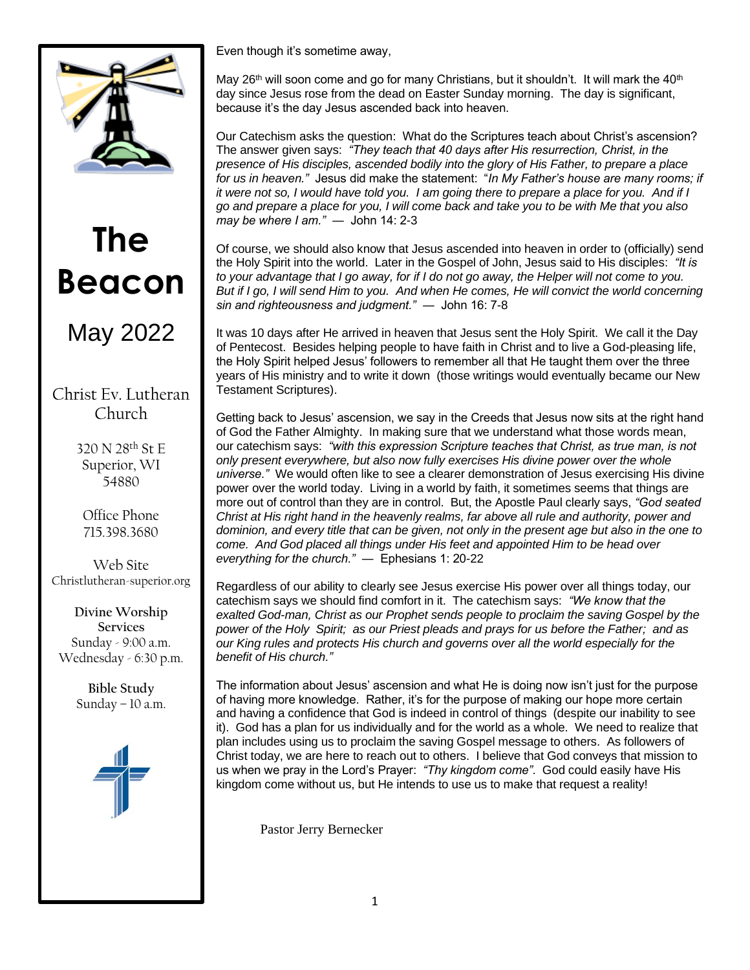

# **The Beacon**

# May 2022

# Christ Ev. Lutheran Church

320 N 28th St E Superior, WI 54880

Office Phone 715.398.3680

Web Site Christlutheran-superior.org

**Divine Worship Services** Sunday - 9:00 a.m. Wednesday - 6:30 p.m.

> **Bible Study** Sunday – 10 a.m.



Even though it's sometime away,

May 26<sup>th</sup> will soon come and go for many Christians, but it shouldn't. It will mark the 40<sup>th</sup> day since Jesus rose from the dead on Easter Sunday morning. The day is significant, because it's the day Jesus ascended back into heaven.

Our Catechism asks the question: What do the Scriptures teach about Christ's ascension? The answer given says: *"They teach that 40 days after His resurrection, Christ, in the presence of His disciples, ascended bodily into the glory of His Father, to prepare a place for us in heaven."* Jesus did make the statement: "*In My Father's house are many rooms; if it were not so, I would have told you. I am going there to prepare a place for you. And if I go and prepare a place for you, I will come back and take you to be with Me that you also may be where I am."* ― John 14: 2-3

Of course, we should also know that Jesus ascended into heaven in order to (officially) send the Holy Spirit into the world. Later in the Gospel of John, Jesus said to His disciples: *"It is to your advantage that I go away, for if I do not go away, the Helper will not come to you. But if I go, I will send Him to you. And when He comes, He will convict the world concerning sin and righteousness and judgment."* ― John 16: 7-8

It was 10 days after He arrived in heaven that Jesus sent the Holy Spirit. We call it the Day of Pentecost. Besides helping people to have faith in Christ and to live a God-pleasing life, the Holy Spirit helped Jesus' followers to remember all that He taught them over the three years of His ministry and to write it down (those writings would eventually became our New Testament Scriptures).

Getting back to Jesus' ascension, we say in the Creeds that Jesus now sits at the right hand of God the Father Almighty. In making sure that we understand what those words mean, our catechism says: *"with this expression Scripture teaches that Christ, as true man, is not only present everywhere, but also now fully exercises His divine power over the whole universe."* We would often like to see a clearer demonstration of Jesus exercising His divine power over the world today. Living in a world by faith, it sometimes seems that things are more out of control than they are in control. But, the Apostle Paul clearly says, *"God seated Christ at His right hand in the heavenly realms, far above all rule and authority, power and dominion, and every title that can be given, not only in the present age but also in the one to come. And God placed all things under His feet and appointed Him to be head over everything for the church."* ― Ephesians 1: 20-22

Regardless of our ability to clearly see Jesus exercise His power over all things today, our catechism says we should find comfort in it. The catechism says: *"We know that the exalted God-man, Christ as our Prophet sends people to proclaim the saving Gospel by the power of the Holy Spirit; as our Priest pleads and prays for us before the Father; and as our King rules and protects His church and governs over all the world especially for the benefit of His church."*

The information about Jesus' ascension and what He is doing now isn't just for the purpose of having more knowledge. Rather, it's for the purpose of making our hope more certain and having a confidence that God is indeed in control of things (despite our inability to see it). God has a plan for us individually and for the world as a whole. We need to realize that plan includes using us to proclaim the saving Gospel message to others. As followers of Christ today, we are here to reach out to others. I believe that God conveys that mission to us when we pray in the Lord's Prayer: *"Thy kingdom come"*. God could easily have His kingdom come without us, but He intends to use us to make that request a reality!

Pastor Jerry Bernecker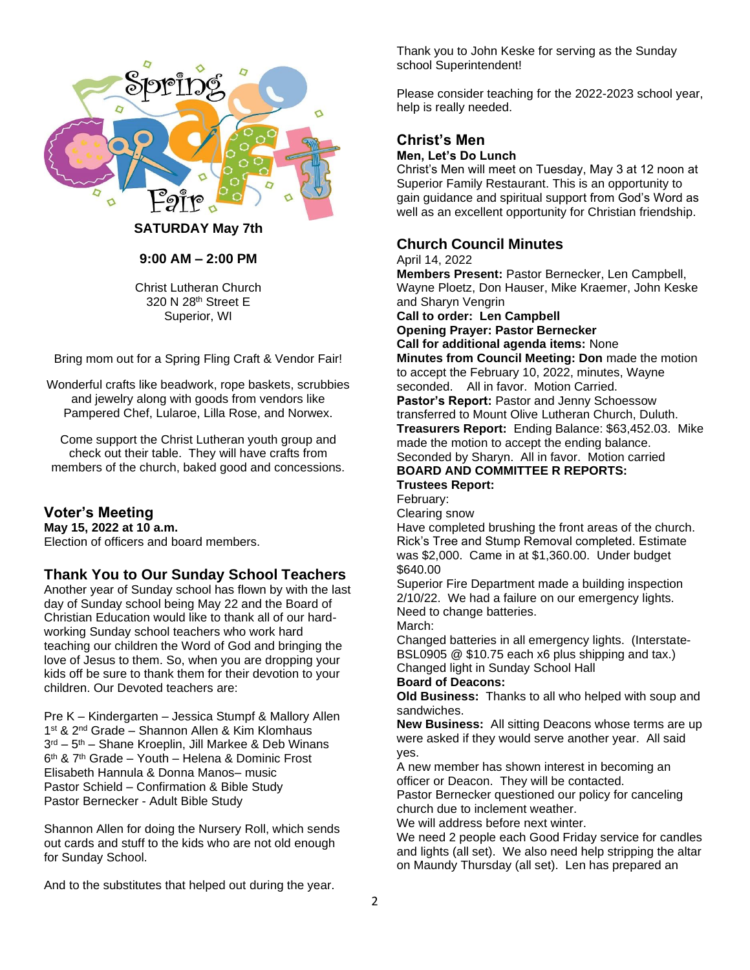

#### **SATURDAY May 7th**

#### **9:00 AM – 2:00 PM**

Christ Lutheran Church 320 N 28th Street E Superior, WI

Bring mom out for a Spring Fling Craft & Vendor Fair!

Wonderful crafts like beadwork, rope baskets, scrubbies and jewelry along with goods from vendors like Pampered Chef, Lularoe, Lilla Rose, and Norwex.

Come support the Christ Lutheran youth group and check out their table. They will have crafts from members of the church, baked good and concessions.

#### **Voter's Meeting**

**May 15, 2022 at 10 a.m.** Election of officers and board members.

## **Thank You to Our Sunday School Teachers**

Another year of Sunday school has flown by with the last day of Sunday school being May 22 and the Board of Christian Education would like to thank all of our hardworking Sunday school teachers who work hard teaching our children the Word of God and bringing the love of Jesus to them. So, when you are dropping your kids off be sure to thank them for their devotion to your children. Our Devoted teachers are:

Pre K – Kindergarten – Jessica Stumpf & Mallory Allen 1<sup>st</sup> & 2<sup>nd</sup> Grade - Shannon Allen & Kim Klomhaus 3 rd – 5 th – Shane Kroeplin, Jill Markee & Deb Winans 6<sup>th</sup> & 7<sup>th</sup> Grade – Youth – Helena & Dominic Frost Elisabeth Hannula & Donna Manos– music Pastor Schield – Confirmation & Bible Study Pastor Bernecker - Adult Bible Study

Shannon Allen for doing the Nursery Roll, which sends out cards and stuff to the kids who are not old enough for Sunday School.

And to the substitutes that helped out during the year.

Thank you to John Keske for serving as the Sunday school Superintendent!

Please consider teaching for the 2022-2023 school year, help is really needed.

# **Christ's Men**

## **Men, Let's Do Lunch**

Christ's Men will meet on Tuesday, May 3 at 12 noon at Superior Family Restaurant. This is an opportunity to gain guidance and spiritual support from God's Word as well as an excellent opportunity for Christian friendship.

### **Church Council Minutes**

#### April 14, 2022

**Members Present:** Pastor Bernecker, Len Campbell, Wayne Ploetz, Don Hauser, Mike Kraemer, John Keske and Sharyn Vengrin

#### **Call to order: Len Campbell**

**Opening Prayer: Pastor Bernecker**

**Call for additional agenda items:** None

**Minutes from Council Meeting: Don** made the motion to accept the February 10, 2022, minutes, Wayne seconded. All in favor. Motion Carried.

**Pastor's Report:** Pastor and Jenny Schoessow transferred to Mount Olive Lutheran Church, Duluth. **Treasurers Report:** Ending Balance: \$63,452.03. Mike made the motion to accept the ending balance. Seconded by Sharyn. All in favor. Motion carried

**BOARD AND COMMITTEE R REPORTS: Trustees Report:** 

# February:

Clearing snow

Have completed brushing the front areas of the church. Rick's Tree and Stump Removal completed. Estimate was \$2,000. Came in at \$1,360.00. Under budget \$640.00

Superior Fire Department made a building inspection 2/10/22. We had a failure on our emergency lights. Need to change batteries. March:

Changed batteries in all emergency lights. (Interstate-BSL0905 @ \$10.75 each x6 plus shipping and tax.) Changed light in Sunday School Hall

#### **Board of Deacons:**

**Old Business:** Thanks to all who helped with soup and sandwiches.

**New Business:** All sitting Deacons whose terms are up were asked if they would serve another year. All said yes.

A new member has shown interest in becoming an officer or Deacon. They will be contacted.

Pastor Bernecker questioned our policy for canceling church due to inclement weather.

We will address before next winter.

We need 2 people each Good Friday service for candles and lights (all set). We also need help stripping the altar on Maundy Thursday (all set). Len has prepared an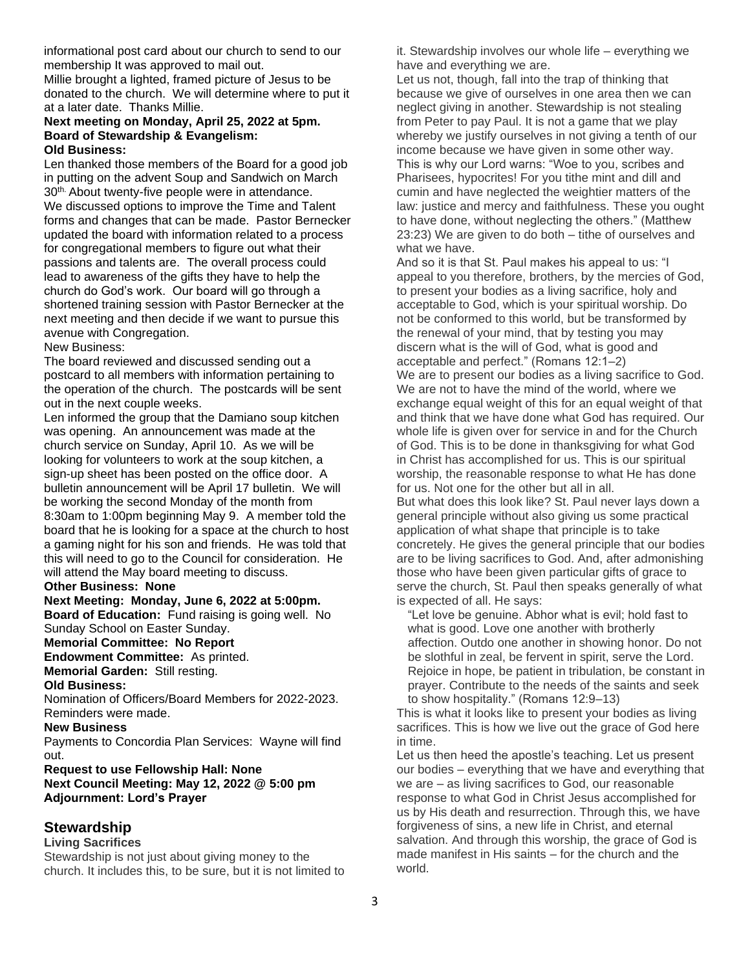informational post card about our church to send to our membership It was approved to mail out.

Millie brought a lighted, framed picture of Jesus to be donated to the church. We will determine where to put it at a later date. Thanks Millie.

#### **Next meeting on Monday, April 25, 2022 at 5pm. Board of Stewardship & Evangelism: Old Business:**

Len thanked those members of the Board for a good job in putting on the advent Soup and Sandwich on March 30<sup>th.</sup> About twenty-five people were in attendance. We discussed options to improve the Time and Talent forms and changes that can be made. Pastor Bernecker updated the board with information related to a process for congregational members to figure out what their passions and talents are. The overall process could lead to awareness of the gifts they have to help the church do God's work. Our board will go through a shortened training session with Pastor Bernecker at the next meeting and then decide if we want to pursue this avenue with Congregation.

New Business:

The board reviewed and discussed sending out a postcard to all members with information pertaining to the operation of the church. The postcards will be sent out in the next couple weeks.

Len informed the group that the Damiano soup kitchen was opening. An announcement was made at the church service on Sunday, April 10. As we will be looking for volunteers to work at the soup kitchen, a sign-up sheet has been posted on the office door. A bulletin announcement will be April 17 bulletin. We will be working the second Monday of the month from 8:30am to 1:00pm beginning May 9. A member told the board that he is looking for a space at the church to host a gaming night for his son and friends. He was told that this will need to go to the Council for consideration. He will attend the May board meeting to discuss.

**Other Business: None**

**Next Meeting: Monday, June 6, 2022 at 5:00pm.**

**Board of Education:** Fund raising is going well. No Sunday School on Easter Sunday.

**Memorial Committee: No Report**

**Endowment Committee:** As printed. **Memorial Garden:** Still resting.

**Old Business:**

Nomination of Officers/Board Members for 2022-2023. Reminders were made.

#### **New Business**

Payments to Concordia Plan Services: Wayne will find out.

**Request to use Fellowship Hall: None Next Council Meeting: May 12, 2022 @ 5:00 pm Adjournment: Lord's Prayer**

## **Stewardship**

#### **Living Sacrifices**

Stewardship is not just about giving money to the church. It includes this, to be sure, but it is not limited to it. Stewardship involves our whole life – everything we have and everything we are.

Let us not, though, fall into the trap of thinking that because we give of ourselves in one area then we can neglect giving in another. Stewardship is not stealing from Peter to pay Paul. It is not a game that we play whereby we justify ourselves in not giving a tenth of our income because we have given in some other way. This is why our Lord warns: "Woe to you, scribes and Pharisees, hypocrites! For you tithe mint and dill and cumin and have neglected the weightier matters of the law: justice and mercy and faithfulness. These you ought to have done, without neglecting the others." (Matthew 23:23) We are given to do both – tithe of ourselves and what we have.

And so it is that St. Paul makes his appeal to us: "I appeal to you therefore, brothers, by the mercies of God, to present your bodies as a living sacrifice, holy and acceptable to God, which is your spiritual worship. Do not be conformed to this world, but be transformed by the renewal of your mind, that by testing you may discern what is the will of God, what is good and acceptable and perfect." (Romans 12:1–2) We are to present our bodies as a living sacrifice to God. We are not to have the mind of the world, where we exchange equal weight of this for an equal weight of that and think that we have done what God has required. Our

whole life is given over for service in and for the Church of God. This is to be done in thanksgiving for what God in Christ has accomplished for us. This is our spiritual worship, the reasonable response to what He has done for us. Not one for the other but all in all.

But what does this look like? St. Paul never lays down a general principle without also giving us some practical application of what shape that principle is to take concretely. He gives the general principle that our bodies are to be living sacrifices to God. And, after admonishing those who have been given particular gifts of grace to serve the church, St. Paul then speaks generally of what is expected of all. He says:

"Let love be genuine. Abhor what is evil; hold fast to what is good. Love one another with brotherly affection. Outdo one another in showing honor. Do not be slothful in zeal, be fervent in spirit, serve the Lord. Rejoice in hope, be patient in tribulation, be constant in prayer. Contribute to the needs of the saints and seek to show hospitality." (Romans 12:9–13)

This is what it looks like to present your bodies as living sacrifices. This is how we live out the grace of God here in time.

Let us then heed the apostle's teaching. Let us present our bodies – everything that we have and everything that we are – as living sacrifices to God, our reasonable response to what God in Christ Jesus accomplished for us by His death and resurrection. Through this, we have forgiveness of sins, a new life in Christ, and eternal salvation. And through this worship, the grace of God is made manifest in His saints – for the church and the world.